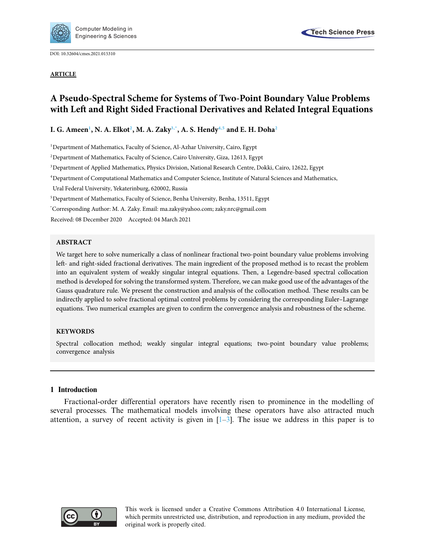

DOI: [10.32604/cmes.2021.015310](http://dx.doi.org/10.32604/cmes.2021.015310)

#### **ARTICLE**

# **A Pseudo-Spectral Scheme for Systems of Two-Point Boundary Value Problems with Left and Right Sided Fractional Derivatives and Related Integral Equations**

 $\bf{I}.$   $\bf{G}.$  Ameen $^1$ ,  $\bf{N}.$   $\bf{A}.$  Elko $\bf{t}^2,$   $\bf{M}.$   $\bf{A}.$  Zaky $^{3,*},$   $\bf{A}.$   $\bf{S}.$  Hendy $^{4,5}$  $^{4,5}$  $^{4,5}$  and E. H. Doha $^2$ 

<span id="page-0-0"></span><sup>1</sup>Department of Mathematics, Faculty of Science, Al-Azhar University, Cairo, Egypt

<span id="page-0-1"></span><sup>2</sup>Department of Mathematics, Faculty of Science, Cairo University, Giza, 12613, Egypt

<span id="page-0-2"></span>3 Department of Applied Mathematics, Physics Division, National Research Centre, Dokki, Cairo, 12622, Egypt

<span id="page-0-4"></span>4 Department of Computational Mathematics and Computer Science, Institute of Natural Sciences and Mathematics,

Ural Federal University, Yekaterinburg, 620002, Russia

<span id="page-0-5"></span>5 Department of Mathematics, Faculty of Science, Benha University, Benha, 13511, Egypt

<span id="page-0-3"></span>\* Corresponding Author: M. A. Zaky. Email: ma.zaky@yahoo.com; zaky.nrc@gmail.com

Received: 08 December 2020 Accepted: 04 March 2021

#### **ABSTRACT**

We target here to solve numerically a class of nonlinear fractional two-point boundary value problems involving left- and right-sided fractional derivatives. The main ingredient of the proposed method is to recast the problem into an equivalent system of weakly singular integral equations. Then, a Legendre-based spectral collocation method is developed for solving the transformed system. Therefore, we can make good use of the advantages of the Gauss quadrature rule. We present the construction and analysis of the collocation method. These results can be indirectly applied to solve fractional optimal control problems by considering the corresponding Euler–Lagrange equations. Two numerical examples are given to confirm the convergence analysis and robustness of the scheme.

## **KEYWORDS**

Spectral collocation method; weakly singular integral equations; two-point boundary value problems; convergence analysis

## **1 Introduction**

Fractional-order differential operators have recently risen to prominence in the modelling of several processes. The mathematical models involving these operators have also attracted much attention, a survey of recent activity is given in  $[1-3]$  $[1-3]$ . The issue we address in this paper is to



This work is licensed under a Creative Commons Attribution 4.0 International License, which permits unrestricted use, distribution, and reproduction in any medium, provided the original work is properly cited.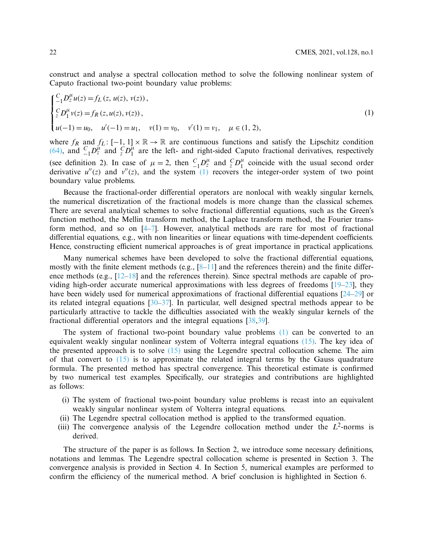construct and analyse a spectral collocation method to solve the following nonlinear system of Caputo fractional two-point boundary value problems:

<span id="page-1-0"></span>
$$
\begin{cases} \n\frac{C}{-1} D_z^{\mu} u(z) = f_L(z, u(z), v(z)), \\ \n\frac{C}{z} D_1^{\mu} v(z) = f_R(z, u(z), v(z)), \\ \n\mu(-1) = u_0, \quad u'(-1) = u_1, \quad v(1) = v_0, \quad v'(1) = v_1, \quad \mu \in (1, 2), \n\end{cases} \tag{1}
$$

where  $f_R$  and  $f_L: [-1, 1] \times \mathbb{R} \to \mathbb{R}$  are continuous functions and satisfy the Lipschitz condition [\(64\),](#page-12-0) and  $C_1 D^{\mu}$  and  $C^2 D^{\mu}$  are the left- and right-sided Caputo fractional derivatives, respectively (see definition 2). In case of  $\mu = 2$ , then  $C_1 D_2^{\mu}$  and  $C_2 D_1^{\mu}$  coincide with the usual second order derivative  $u''(z)$  and  $v''(z)$ , and the system  $(1)$  recovers the integer-order system of two point boundary value problems.

Because the fractional-order differential operators are nonlocal with weakly singular kernels, the numerical discretization of the fractional models is more change than the classical schemes. There are several analytical schemes to solve fractional differential equations, such as the Green's function method, the Mellin transform method, the Laplace transform method, the Fourier transform method, and so on [\[4](#page-18-2)[–7\]](#page-18-3). However, analytical methods are rare for most of fractional differential equations, e.g., with non linearities or linear equations with time-dependent coefficients. Hence, constructing efficient numerical approaches is of great importance in practical applications.

Many numerical schemes have been developed to solve the fractional differential equations, mostly with the finite element methods (e.g.,  $[8-11]$  $[8-11]$  and the references therein) and the finite difference methods (e.g.,  $[12-18]$  $[12-18]$  and the references therein). Since spectral methods are capable of providing high-order accurate numerical approximations with less degrees of freedoms  $[19–23]$  $[19–23]$  $[19–23]$ , they have been widely used for numerical approximations of fractional differential equations [\[24](#page-19-3)[–29\]](#page-19-4) or its related integral equations  $\left[30-37\right]$  $\left[30-37\right]$  $\left[30-37\right]$ . In particular, well designed spectral methods appear to be particularly attractive to tackle the difficulties associated with the weakly singular kernels of the fractional differential operators and the integral equations [\[38](#page-20-1)[,39](#page-20-2)].

The system of fractional two-point boundary value problems [\(1\)](#page-1-0) can be converted to an equivalent weakly singular nonlinear system of Volterra integral equations [\(15\).](#page-4-0) The key idea of the presented approach is to solve  $(15)$  using the Legendre spectral collocation scheme. The aim of that convert to  $(15)$  is to approximate the related integral terms by the Gauss quadrature formula. The presented method has spectral convergence. This theoretical estimate is confirmed by two numerical test examples. Specifically, our strategies and contributions are highlighted as follows:

- (i) The system of fractional two-point boundary value problems is recast into an equivalent weakly singular nonlinear system of Volterra integral equations.
- (ii) The Legendre spectral collocation method is applied to the transformed equation.
- (iii) The convergence analysis of the Legendre collocation method under the  $L^2$ -norms is derived.

The structure of the paper is as follows. In Section 2, we introduce some necessary definitions, notations and lemmas. The Legendre spectral collocation scheme is presented in Section 3. The convergence analysis is provided in Section 4. In Section 5, numerical examples are performed to confirm the efficiency of the numerical method. A brief conclusion is highlighted in Section 6.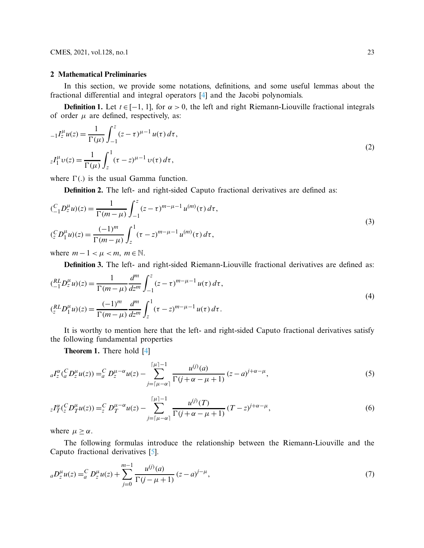CMES, 2021, vol.128, no.1 23

## **2 Mathematical Preliminaries**

In this section, we provide some notations, definitions, and some useful lemmas about the fractional differential and integral operators [\[4\]](#page-18-2) and the Jacobi polynomials.

**Definition 1.** Let  $t \in [-1, 1]$ , for  $\alpha > 0$ , the left and right Riemann-Liouville fractional integrals of order  $\mu$  are defined, respectively, as:

$$
{}_{-1}I_{z}^{\mu}u(z) = \frac{1}{\Gamma(\mu)} \int_{-1}^{z} (z - \tau)^{\mu - 1} u(\tau) d\tau,
$$
  

$$
{}_{z}I_{1}^{\mu}v(z) = \frac{1}{\Gamma(\mu)} \int_{z}^{1} (\tau - z)^{\mu - 1} v(\tau) d\tau,
$$
 (2)

where  $\Gamma$ .) is the usual Gamma function.

**Definition 2.** The left- and right-sided Caputo fractional derivatives are defined as:

$$
\begin{aligned} \n\left(\frac{C}{-1}D_z^{\mu}u\right)(z) &= \frac{1}{\Gamma(m-\mu)} \int_{-1}^{z} (z-\tau)^{m-\mu-1} u^{(m)}(\tau) \, d\tau, \\ \n\left(\frac{C}{z}D_1^{\mu}u\right)(z) &= \frac{(-1)^m}{\Gamma(m-\mu)} \int_{z}^{1} (\tau-z)^{m-\mu-1} u^{(m)}(\tau) \, d\tau, \n\end{aligned} \tag{3}
$$

where  $m - 1 < \mu < m$ ,  $m \in \mathbb{N}$ .

**Definition 3.** The left- and right-sided Riemann-Liouville fractional derivatives are defined as:

$$
\begin{aligned} \n\left(\frac{RL}{1}D_z^{\mu}u\right)(z) &= \frac{1}{\Gamma(m-\mu)} \frac{d^m}{dz^m} \int_{-1}^{z} (z-\tau)^{m-\mu-1} u(\tau) \, d\tau, \\ \n\left(\frac{RL}{z}D_1^{\mu}u\right)(z) &= \frac{(-1)^m}{\Gamma(m-\mu)} \frac{d^m}{dz^m} \int_{z}^{1} (\tau-z)^{m-\mu-1} u(\tau) \, d\tau. \n\end{aligned} \tag{4}
$$

It is worthy to mention here that the left- and right-sided Caputo fractional derivatives satisfy the following fundamental properties

**Theorem 1.** There hold [\[4\]](#page-18-2)

$$
{}_{a}I_{z}^{\alpha}({}_{a}^{C}D_{z}^{\mu}u(z)) = {}_{a}^{C}D_{z}^{\mu-\alpha}u(z) - \sum_{j=\lceil\mu-\alpha\rceil}^{\lceil\mu\rceil-1} \frac{u^{(j)}(a)}{\Gamma(j+\alpha-\mu+1)}(z-a)^{j+\alpha-\mu},
$$
\n(5)

$$
{}_{z}I_{T}^{\alpha}({}^{C}_{z}D^{\mu}_{T}u(z)) = {}_{z}^{C}D^{\mu-\alpha}_{T}u(z) - \sum_{j=\lceil\mu-\alpha\rceil}^{\lceil\mu\rceil-1} \frac{u^{(j)}(T)}{\Gamma(j+\alpha-\mu+1)}(T-z)^{j+\alpha-\mu},\tag{6}
$$

where  $\mu \geq \alpha$ .

The following formulas introduce the relationship between the Riemann-Liouville and the Caputo fractional derivatives [\[5\]](#page-18-7).

$$
{}_{a}D_{z}^{\mu}u(z) = {}_{a}^{C}D_{z}^{\mu}u(z) + \sum_{j=0}^{m-1} \frac{u^{(j)}(a)}{\Gamma(j-\mu+1)} (z-a)^{j-\mu}, \tag{7}
$$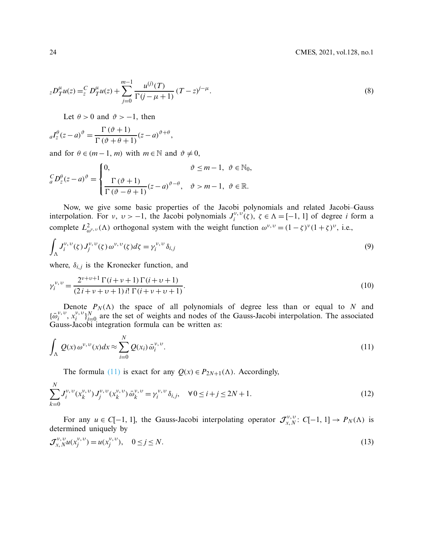$$
{}_{z}D_{T}^{\mu}u(z) = {}_{z}^{C}D_{T}^{\mu}u(z) + \sum_{j=0}^{m-1} \frac{u^{(j)}(T)}{\Gamma(j-\mu+1)} (T-z)^{j-\mu}.
$$
\n(8)

Let  $\theta > 0$  and  $\vartheta > -1$ , then

$$
_{a}I_{z}^{\theta}(z-a)^{\vartheta} = \frac{\Gamma(\vartheta+1)}{\Gamma(\vartheta+\theta+1)}(z-a)^{\vartheta+\theta},
$$

and for  $\theta \in (m-1, m)$  with  $m \in \mathbb{N}$  and  $\vartheta \neq 0$ ,

$$
{}_{a}^{C}D_{z}^{\theta}(z-a)^{\vartheta} = \begin{cases} 0, & \vartheta \leq m-1, \ \vartheta \in \mathbb{N}_{0}, \\ \frac{\Gamma(\vartheta+1)}{\Gamma(\vartheta-\theta+1)}(z-a)^{\vartheta-\theta}, & \vartheta > m-1, \ \vartheta \in \mathbb{R}. \end{cases}
$$

Now, we give some basic properties of the Jacobi polynomials and related Jacobi–Gauss interpolation. For  $v, v > -1$ , the Jacobi polynomials  $J_i^{v, v}(\zeta)$ ,  $\zeta \in \Lambda = [-1, 1]$  of degree *i* form a complete  $L^2_{\omega^{\nu,\nu}}(\Lambda)$  orthogonal system with the weight function  $\omega^{\nu,\nu} = (1 - \zeta)^{\nu} (1 + \zeta)^{\nu}$ , i.e.,

<span id="page-3-1"></span>
$$
\int_{\Lambda} J_i^{\nu,\,\nu}(\zeta) J_j^{\nu,\,\nu}(\zeta) \,\omega^{\nu,\,\nu}(\zeta) d\zeta = \gamma_i^{\,\nu,\,\nu} \,\delta_{i,j} \tag{9}
$$

where,  $\delta_{i,j}$  is the Kronecker function, and

$$
\gamma_i^{\nu,\nu} = \frac{2^{\nu+\nu+1}\,\Gamma(i+\nu+1)\,\Gamma(i+\nu+1)}{(2\,i+\nu+\nu+1)\,i!\,\Gamma(i+\nu+\nu+1)}.\tag{10}
$$

Denote  $P_N(\Lambda)$  the space of all polynomials of degree less than or equal to *N* and  ${\{\bar{\omega}_i^{\nu,\nu}, x_i^{\nu,\nu}\}_{i=0}^N}$  are the set of weights and nodes of the Gauss-Jacobi interpolation. The associated Gauss-Jacobi integration formula can be written as:

$$
\int_{\Lambda} Q(x) \,\omega^{\nu,\,\nu}(x) dx \approx \sum_{i=0}^{N} Q(x_i) \,\bar{\omega}_i^{\nu,\,\nu}.\tag{11}
$$

<span id="page-3-2"></span><span id="page-3-0"></span>The formula [\(11\)](#page-3-0) is exact for any  $Q(x) \in P_{2N+1}(\Lambda)$ . Accordingly,

$$
\sum_{k=0}^{N} J_i^{\nu,\nu}(x_k^{\nu,\nu}) J_j^{\nu,\nu}(x_k^{\nu,\nu}) \bar{\omega}_k^{\nu,\nu} = \gamma_i^{\nu,\nu} \delta_{i,j}, \quad \forall 0 \le i + j \le 2N + 1.
$$
\n(12)

For any  $u \in C[-1, 1]$ , the Gauss-Jacobi interpolating operator  $\mathcal{J}_{x, N}^{v, v}$ :  $C[-1, 1] \to P_N(\Lambda)$  is determined uniquely by

$$
\mathcal{J}_{x,N}^{\nu,\nu} u(x_j^{\nu,\nu}) = u(x_j^{\nu,\nu}), \quad 0 \le j \le N. \tag{13}
$$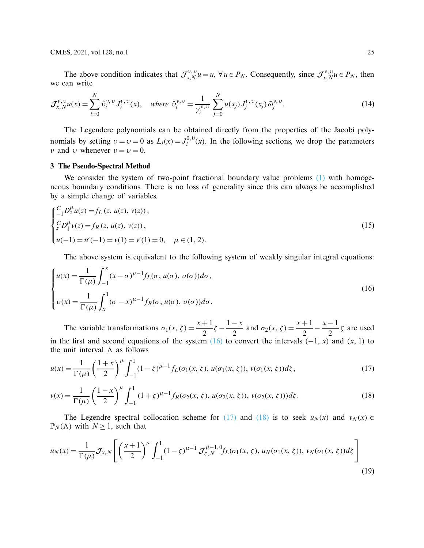CMES, 2021, vol.128, no.1 25

The above condition indicates that  $\mathcal{J}_{x,N}^{v,v} u = u$ ,  $\forall u \in P_N$ . Consequently, since  $\mathcal{J}_{x,N}^{v,v} u \in P_N$ , then we can write

$$
\mathcal{J}_{x,N}^{\nu,\nu} u(x) = \sum_{i=0}^{N} \hat{\upsilon}_i^{\nu,\nu} J_i^{\nu,\nu}(x), \quad \text{where } \hat{\upsilon}_i^{\nu,\nu} = \frac{1}{\gamma_i^{\nu,\nu}} \sum_{j=0}^{N} u(x_j) J_j^{\nu,\nu}(x_j) \bar{\omega}_j^{\nu,\nu}.
$$
 (14)

The Legendere polynomials can be obtained directly from the properties of the Jacobi polynomials by setting  $v = v = 0$  as  $L_i(x) = J_i^{0,0}(x)$ . In the following sections, we drop the parameters *ν* and *v* whenever  $v = v = 0$ .

#### **3 The Pseudo-Spectral Method**

We consider the system of two-point fractional boundary value problems [\(1\)](#page-1-0) with homogeneous boundary conditions. There is no loss of generality since this can always be accomplished by a simple change of variables.

<span id="page-4-0"></span>
$$
\begin{cases}\n\frac{C}{-1}D_z^{\mu}u(z) = f_L(z, u(z), v(z)), \\
\frac{C}{z}D_1^{\mu}v(z) = f_R(z, u(z), v(z)), \\
u(-1) = u'(-1) = v(1) = v'(1) = 0, \quad \mu \in (1, 2).\n\end{cases}
$$
\n(15)

<span id="page-4-1"></span>The above system is equivalent to the following system of weakly singular integral equations:

$$
\begin{cases}\nu(x) = \frac{1}{\Gamma(\mu)} \int_{-1}^{x} (x - \sigma)^{\mu - 1} f_L(\sigma, u(\sigma), v(\sigma)) d\sigma, \\
v(x) = \frac{1}{\Gamma(\mu)} \int_{x}^{1} (\sigma - x)^{\mu - 1} f_R(\sigma, u(\sigma), v(\sigma)) d\sigma.\n\end{cases} \tag{16}
$$

The variable transformations  $\sigma_1(x, \zeta) = \frac{x+1}{2}\zeta - \frac{1-x}{2}$  and  $\sigma_2(x, \zeta) = \frac{x+1}{2} - \frac{x-1}{2}\zeta$  are used in the first and second equations of the system  $(16)$  to convert the intervals  $(-1, x)$  and  $(x, 1)$  to the unit interval  $\Lambda$  as follows

<span id="page-4-2"></span>
$$
u(x) = \frac{1}{\Gamma(\mu)} \left(\frac{1+x}{2}\right)^{\mu} \int_{-1}^{1} (1-\zeta)^{\mu-1} f_L(\sigma_1(x,\zeta), u(\sigma_1(x,\zeta)), v(\sigma_1(x,\zeta))d\zeta, \tag{17}
$$

<span id="page-4-3"></span>
$$
v(x) = \frac{1}{\Gamma(\mu)} \left(\frac{1-x}{2}\right)^{\mu} \int_{-1}^{1} (1+\zeta)^{\mu-1} f_R(\sigma_2(x,\zeta), u(\sigma_2(x,\zeta)), v(\sigma_2(x,\zeta)))d\zeta.
$$
 (18)

<span id="page-4-4"></span>The Legendre spectral collocation scheme for [\(17\)](#page-4-2) and [\(18\)](#page-4-3) is to seek  $u_N(x)$  and  $v_N(x) \in$  $\mathbb{P}_N(\Lambda)$  with  $N \geq 1$ , such that

$$
u_N(x) = \frac{1}{\Gamma(\mu)} \mathcal{J}_{x,N} \left[ \left( \frac{x+1}{2} \right)^{\mu} \int_{-1}^{1} (1-\zeta)^{\mu-1} \mathcal{J}_{\zeta,N}^{\mu-1,0} f_L(\sigma_1(x,\zeta), u_N(\sigma_1(x,\zeta)), v_N(\sigma_1(x,\zeta)) d\zeta \right]
$$
(19)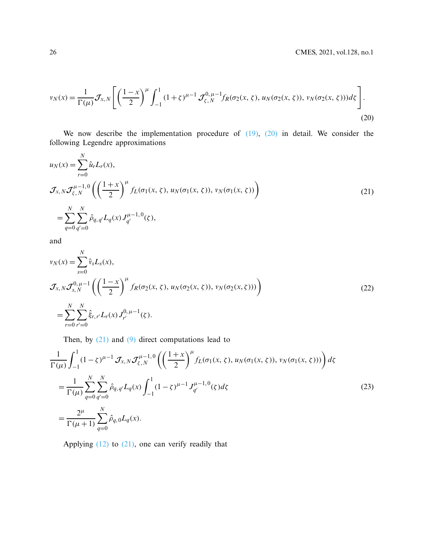<span id="page-5-0"></span>
$$
v_N(x) = \frac{1}{\Gamma(\mu)} \mathcal{J}_{x,N} \left[ \left( \frac{1-x}{2} \right)^{\mu} \int_{-1}^1 (1+\zeta)^{\mu-1} \mathcal{J}_{\zeta,N}^{0,\mu-1} f_R(\sigma_2(x,\zeta), u_N(\sigma_2(x,\zeta)), v_N(\sigma_2(x,\zeta))) d\zeta \right].
$$
\n(20)

We now describe the implementation procedure of  $(19)$ ,  $(20)$  in detail. We consider the following Legendre approximations

<span id="page-5-1"></span>
$$
u_N(x) = \sum_{r=0}^N \hat{u}_r L_r(x),
$$
  
\n
$$
\mathcal{J}_{x,N} \mathcal{J}_{\zeta,N}^{\mu-1,0} \left( \left( \frac{1+x}{2} \right)^{\mu} f_L(\sigma_1(x,\zeta), u_N(\sigma_1(x,\zeta)), v_N(\sigma_1(x,\zeta)) \right)
$$
  
\n
$$
= \sum_{q=0}^N \sum_{q'=0}^N \hat{\rho}_{q,q'} L_q(x) J_{q'}^{\mu-1,0}(\zeta),
$$
\n(21)

<span id="page-5-2"></span>and

$$
v_N(x) = \sum_{s=0}^N \hat{v}_s L_s(x),
$$
  
\n
$$
\mathcal{J}_{x,N} \mathcal{J}_{s,N}^{0,\mu-1} \left( \left( \frac{1-x}{2} \right)^{\mu} f_R(\sigma_2(x,\zeta), u_N(\sigma_2(x,\zeta)), v_N(\sigma_2(x,\zeta))) \right)
$$
  
\n
$$
= \sum_{r=0}^N \sum_{r'=0}^N \hat{\xi}_{r,r'} L_r(x) J_{r'}^{0,\mu-1}(\zeta).
$$
\n(22)

Then, by  $(21)$  and  $(9)$  direct computations lead to

$$
\frac{1}{\Gamma(\mu)} \int_{-1}^{1} (1 - \zeta)^{\mu - 1} \mathcal{J}_{x, N} \mathcal{J}_{\zeta, N}^{\mu - 1, 0} \left( \left( \frac{1 + x}{2} \right)^{\mu} f_L(\sigma_1(x, \zeta), u_N(\sigma_1(x, \zeta)), v_N(\sigma_1(x, \zeta))) \right) d\zeta
$$
\n
$$
= \frac{1}{\Gamma(\mu)} \sum_{q=0}^{N} \sum_{q'=0}^{N} \hat{\rho}_{q, q'} L_q(x) \int_{-1}^{1} (1 - \zeta)^{\mu - 1} J_{q'}^{\mu - 1, 0}(\zeta) d\zeta
$$
\n
$$
= \frac{2^{\mu}}{\Gamma(\mu + 1)} \sum_{q=0}^{N} \hat{\rho}_{q, 0} L_q(x).
$$
\n(23)

Applying  $(12)$  to  $(21)$ , one can verify readily that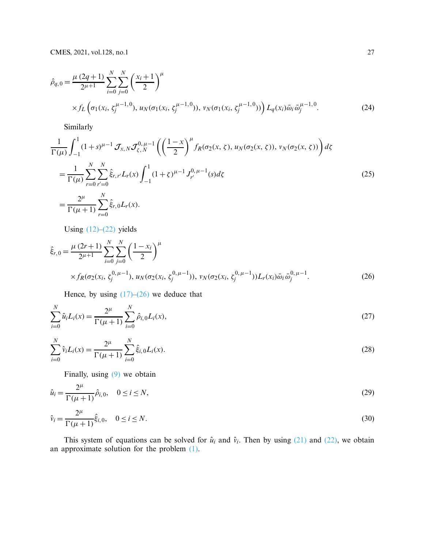$$
\hat{\rho}_{q,0} = \frac{\mu (2q+1)}{2^{\mu+1}} \sum_{i=0}^{N} \sum_{j=0}^{N} \left( \frac{x_i+1}{2} \right)^{\mu} \times f_L \left( \sigma_1(x_i, \zeta_j^{\mu-1,0}), u_N(\sigma_1(x_i, \zeta_j^{\mu-1,0})), v_N(\sigma_1(x_i, \zeta_j^{\mu-1,0})) \right) L_q(x_i) \bar{\omega}_i \bar{\omega}_j^{\mu-1,0}.
$$
\n(24)

Similarly

$$
\frac{1}{\Gamma(\mu)} \int_{-1}^{1} (1+s)^{\mu-1} \mathcal{J}_{x,N} \mathcal{J}_{\zeta,N}^{0,\mu-1} \left( \left( \frac{1-x}{2} \right)^{\mu} f_R(\sigma_2(x,\zeta), u_N(\sigma_2(x,\zeta)), v_N(\sigma_2(x,\zeta)) \right) d\zeta
$$
\n
$$
= \frac{1}{\Gamma(\mu)} \sum_{r=0}^{N} \sum_{r'=0}^{N} \hat{\xi}_{r,r'} L_r(x) \int_{-1}^{1} (1+\zeta)^{\mu-1} J_r^{0,\mu-1}(s) d\zeta
$$
\n
$$
= \frac{2^{\mu}}{\Gamma(\mu+1)} \sum_{r=0}^{N} \hat{\xi}_{r,0} L_r(x).
$$
\n(25)

Using  $(12)$ – $(22)$  yields

$$
\hat{\xi}_{r,0} = \frac{\mu (2r+1)}{2^{\mu+1}} \sum_{i=0}^{N} \sum_{j=0}^{N} \left( \frac{1 - x_i}{2} \right)^{\mu} \times f_R(\sigma_2(x_i, \zeta_j^{0, \mu-1}), u_N(\sigma_2(x_i, \zeta_j^{0, \mu-1})), v_N(\sigma_2(x_i, \zeta_j^{0, \mu-1})) L_r(x_i) \bar{\omega}_i \bar{\omega}_j^{0, \mu-1}.
$$
\n(26)

<span id="page-6-0"></span>Hence, by using  $(17)$ – $(26)$  we deduce that

$$
\sum_{i=0}^{N} \hat{u}_i L_i(x) = \frac{2^{\mu}}{\Gamma(\mu + 1)} \sum_{i=0}^{N} \hat{\rho}_{i,0} L_i(x),
$$
\n(27)

$$
\sum_{i=0}^{N} \hat{v}_i L_i(x) = \frac{2^{\mu}}{\Gamma(\mu + 1)} \sum_{i=0}^{N} \hat{\xi}_{i,0} L_i(x).
$$
 (28)

Finally, using [\(9\)](#page-3-1) we obtain

$$
\hat{u}_i = \frac{2^{\mu}}{\Gamma(\mu + 1)} \hat{\rho}_{i,0}, \quad 0 \le i \le N,
$$
\n(29)

$$
\hat{v}_i = \frac{2^{\mu}}{\Gamma(\mu + 1)} \hat{\xi}_{i,0}, \quad 0 \le i \le N. \tag{30}
$$

This system of equations can be solved for  $\hat{u}_i$  and  $\hat{v}_i$ . Then by using [\(21\)](#page-5-1) and [\(22\),](#page-5-2) we obtain an approximate solution for the problem [\(1\).](#page-1-0)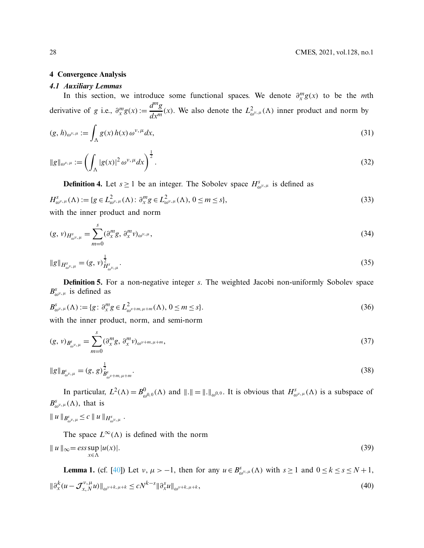#### **4 Convergence Analysis**

#### *4.1 Auxiliary Lemmas*

In this section, we introduce some functional spaces. We denote  $\partial_x^m g(x)$  to be the *m*th derivative of *g* i.e.,  $\partial_x^m g(x) := \frac{d^m g}{dx^m}(x)$ . We also denote the  $L^2_{\omega^v,\mu}(\Lambda)$  inner product and norm by

$$
(g, h)_{\omega^{\nu,\mu}} := \int_{\Lambda} g(x) h(x) \, \omega^{\nu,\mu} dx,\tag{31}
$$

$$
\|g\|_{\omega^{\nu,\mu}} := \left(\int_{\Lambda} |g(x)|^2 \,\omega^{\nu,\mu} dx\right)^{\frac{1}{2}}.\tag{32}
$$

**Definition 4.** Let  $s \ge 1$  be an integer. The Sobolev space  $H_{\omega^{\nu,\mu}}^s$  is defined as

$$
H^{s}_{\omega^{\nu,\mu}}(\Lambda) := \{ g \in L^{2}_{\omega^{\nu,\mu}}(\Lambda) : \partial_{x}^{m} g \in L^{2}_{\omega^{\nu,\mu}}(\Lambda), \ 0 \leq m \leq s \},\tag{33}
$$

with the inner product and norm

$$
(g, v)_{H^s_{\omega^v,\mu}} = \sum_{m=0}^s (\partial_x^m g, \partial_x^m v)_{\omega^v,\mu},
$$
\n(34)

$$
||g||_{H^s_{\omega^{\nu,\mu}}} = (g, \nu)^{\frac{1}{2}}_{H^s_{\omega^{\nu,\mu}}}.
$$
\n(35)

**Definition 5.** For a non-negative integer *s*. The weighted Jacobi non-uniformly Sobolev space  $B^s_{\omega^{\nu,\mu}}$  is defined as

$$
B_{\omega^{\nu,\mu}}^{s}(\Lambda) := \{ g \colon \partial_{x}^{m} g \in L_{\omega^{\nu+m,\mu+m}}^{2}(\Lambda), \ 0 \leq m \leq s \}. \tag{36}
$$

with the inner product, norm, and semi-norm

$$
(g, v)_{B^{s}_{\omega^{v}, \mu}} = \sum_{m=0}^{s} (\partial_{x}^{m} g, \partial_{x}^{m} v)_{\omega^{v+m, \mu+m}},
$$
\n(37)

$$
||g||_{B_{\omega^{v,\mu}}^s} = (g, g)_{B_{\omega^{v+m,\mu+m}}}^{\frac{1}{2}}.
$$
\n(38)

In particular,  $L^2(\Lambda) = B^0_{\omega^{0,0}}(\Lambda)$  and  $||.|| = ||.||_{\omega^{0,0}}$ . It is obvious that  $H^s_{\omega^{\nu,\mu}}(\Lambda)$  is a subspace of  $B^s_{\omega^{\nu,\mu}}(\Lambda)$ , that is

$$
\| u \|_{B^s_{\omega^v,\mu}} \leq c \| u \|_{H^s_{\omega^v,\mu}}.
$$

The space  $L^{\infty}(\Lambda)$  is defined with the norm  $|| u ||_{∞} = esssup$ *x*∈Λ  $|u(x)|.$  (39)

**Lemma 1.** (cf. [\[40](#page-20-3)]) Let  $v, \mu > -1$ , then for any  $u \in B^s_{\omega^{v},\mu}(\Lambda)$  with  $s \ge 1$  and  $0 \le k \le s \le N+1$ ,  $\|\partial_x^k (u - \mathcal{J}_{x,N}^{\nu,\mu} u)\|_{\omega^{\nu+k,\mu+k}} \le cN^{k-s} \|\partial_x^s u\|_{\omega^{\nu+k,\mu+k}},$ (40)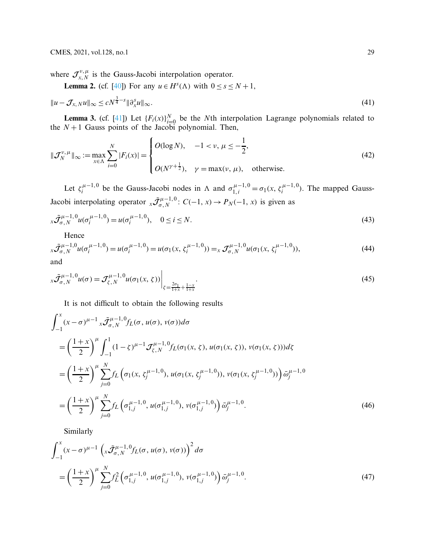where  $\mathcal{J}_{x,N}^{\nu,\mu}$  is the Gauss-Jacobi interpolation operator.

**Lemma 2.** (cf. [40]) For any 
$$
u \in H^s(\Lambda)
$$
 with  $0 \le s \le N + 1$ ,  

$$
||u - \mathcal{J}_{x,N}u||_{\infty} \le cN^{\frac{3}{4} - s} ||\partial_x^s u||_{\infty}.
$$
 (41)

**Lemma 3.** (cf. [\[41](#page-20-4)]) Let  $\{F_i(x)\}_{i=0}^N$  be the *N*th interpolation Lagrange polynomials related to the  $N+1$  Gauss points of the Jacobi polynomial. Then,

$$
\|\mathcal{J}_N^{\nu,\,\mu}\|_{\infty} := \max_{x \in \Lambda} \sum_{i=0}^N |F_i(x)| = \begin{cases} O(\log N), & -1 < \nu, \,\mu \le -\frac{1}{2}, \\ O(N^{\nu + \frac{1}{2}}), & \nu = \max(\nu, \,\mu), \text{ otherwise.} \end{cases}
$$
(42)

Let  $\zeta_i^{\mu-1,0}$  be the Gauss-Jacobi nodes in  $\Lambda$  and  $\sigma_{1,i}^{\mu-1,0} = \sigma_1(x, \zeta_i^{\mu-1,0})$ . The mapped Gauss-Jacobi interpolating operator  $x \tilde{\mathcal{J}}_{\sigma, N}^{\mu-1,0}$ :  $C(-1, x) \to P_N(-1, x)$  is given as

$$
x\tilde{\mathcal{J}}_{\sigma,N}^{\mu-1,0}u(\sigma_i^{\mu-1,0}) = u(\sigma_i^{\mu-1,0}), \quad 0 \le i \le N. \tag{43}
$$

Hence

$$
x\tilde{\mathcal{J}}_{\sigma,N}^{\mu-1,0}u(\sigma_i^{\mu-1,0}) = u(\sigma_i^{\mu-1,0}) = u(\sigma_1(x,\zeta_i^{\mu-1,0})) = x\mathcal{J}_{\sigma,N}^{\mu-1,0}u(\sigma_1(x,\zeta_i^{\mu-1,0})),
$$
\n(44)

$$
x\tilde{\mathcal{J}}_{\sigma,N}^{\mu-1,0}u(\sigma) = \mathcal{J}_{\zeta,N}^{\mu-1,0}u(\sigma_1(x,\,\zeta))\bigg|_{\zeta=\frac{2\sigma_1}{1+x}+\frac{1-x}{1+x}}.\tag{45}
$$

It is not difficult to obtain the following results

$$
\int_{-1}^{x} (x - \sigma)^{\mu - 1} x \tilde{\mathcal{J}}_{\sigma, N}^{\mu - 1, 0} f_L(\sigma, u(\sigma), v(\sigma)) d\sigma
$$
\n
$$
= \left(\frac{1 + x}{2}\right)^{\mu} \int_{-1}^{1} (1 - \zeta)^{\mu - 1} \mathcal{J}_{\zeta, N}^{\mu - 1, 0} f_L(\sigma_1(x, \zeta), u(\sigma_1(x, \zeta)), v(\sigma_1(x, \zeta))) d\zeta
$$
\n
$$
= \left(\frac{1 + x}{2}\right)^{\mu} \sum_{j=0}^{N} f_L\left(\sigma_1(x, \zeta_j^{\mu - 1, 0}), u(\sigma_1(x, \zeta_j^{\mu - 1, 0})), v(\sigma_1(x, \zeta_j^{\mu - 1, 0}))\right) \tilde{\omega}_j^{\mu - 1, 0}
$$
\n
$$
= \left(\frac{1 + x}{2}\right)^{\mu} \sum_{j=0}^{N} f_L\left(\sigma_{1,j}^{\mu - 1, 0}, u(\sigma_{1,j}^{\mu - 1, 0}), v(\sigma_{1,j}^{\mu - 1, 0})\right) \tilde{\omega}_j^{\mu - 1, 0}.
$$
\n(46)

<span id="page-8-1"></span><span id="page-8-0"></span>Similarly

$$
\int_{-1}^{x} (x - \sigma)^{\mu - 1} \left( x \tilde{\mathcal{J}}_{\sigma, N}^{\mu - 1, 0} f_L(\sigma, u(\sigma), v(\sigma)) \right)^2 d\sigma
$$
\n
$$
= \left( \frac{1 + x}{2} \right)^{\mu} \sum_{j=0}^{N} f_L^2 \left( \sigma_{1,j}^{\mu - 1, 0}, u(\sigma_{1,j}^{\mu - 1, 0}), v(\sigma_{1,j}^{\mu - 1, 0}) \right) \tilde{\omega}_j^{\mu - 1, 0}.
$$
\n(47)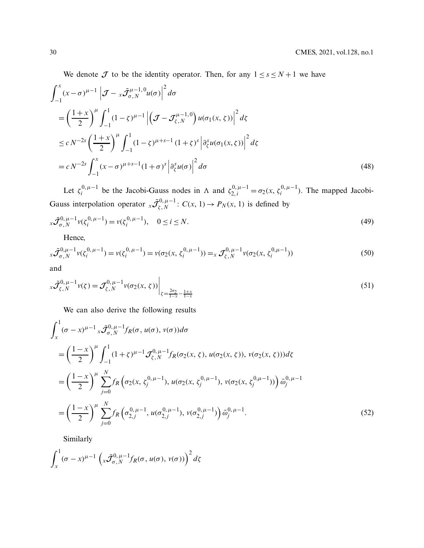We denote  $J$  to be the identity operator. Then, for any  $1 \leq s \leq N+1$  we have

$$
\int_{-1}^{x} (x - \sigma)^{\mu - 1} \left| \mathcal{J} - x \tilde{\mathcal{J}}_{\sigma, N}^{\mu - 1, 0} u(\sigma) \right|^2 d\sigma
$$
\n
$$
= \left( \frac{1 + x}{2} \right)^{\mu} \int_{-1}^{1} (1 - \zeta)^{\mu - 1} \left| \left( \mathcal{J} - \mathcal{J}_{\zeta, N}^{\mu - 1, 0} \right) u(\sigma_1(x, \zeta)) \right|^2 d\zeta
$$
\n
$$
\leq c N^{-2s} \left( \frac{1 + x}{2} \right)^{\mu} \int_{-1}^{1} (1 - \zeta)^{\mu + s - 1} (1 + \zeta)^s \left| \frac{\partial^s}{\partial \zeta} u(\sigma_1(x, \zeta)) \right|^2 d\zeta
$$
\n
$$
= c N^{-2s} \int_{-1}^{x} (x - \sigma)^{\mu + s - 1} (1 + \sigma)^s \left| \frac{\partial^s}{\partial \zeta} u(\sigma) \right|^2 d\sigma
$$
\n(48)

Let  $\zeta_i^{0,\mu-1}$  be the Jacobi-Gauss nodes in  $\Lambda$  and  $\zeta_{2,i}^{0,\mu-1} = \sigma_2(x, \zeta_i^{0,\mu-1})$ . The mapped Jacobi-Gauss interpolation operator  $x \tilde{\mathcal{J}}_{\zeta,N}^{0,\mu-1}$ :  $C(x, 1) \to P_N(x, 1)$  is defined by

$$
x\tilde{\mathcal{J}}_{\sigma,N}^{0,\,\mu-1}v(\zeta_i^{0,\,\mu-1})=v(\zeta_i^{0,\,\mu-1}),\quad 0\leq i\leq N.
$$
\n(49)

<span id="page-9-1"></span>Hence,

$$
x\tilde{\mathcal{J}}_{\sigma,N}^{0,\mu-1}v(\zeta_i^{0,\mu-1}) = v(\zeta_i^{0,\mu-1}) = v(\sigma_2(x,\zeta_i^{0,\mu-1})) =_x \mathcal{J}_{\zeta,N}^{0,\mu-1}v(\sigma_2(x,\zeta_i^{0,\mu-1}))
$$
\n(50)

$$
x\tilde{\mathcal{J}}_{\zeta,N}^{0,\mu-1}v(\zeta) = \mathcal{J}_{\zeta,N}^{0,\mu-1}v(\sigma_2(x,\zeta))\bigg|_{\zeta=\frac{2\sigma_2}{1-x}-\frac{1+x}{1-x}}
$$
(51)

We can also derive the following results

$$
\int_{x}^{1} (\sigma - x)^{\mu - 1} x \tilde{\mathcal{J}}_{\sigma, N}^{0, \mu - 1} f_R(\sigma, u(\sigma), v(\sigma)) d\sigma
$$
\n
$$
= \left(\frac{1 - x}{2}\right)^{\mu} \int_{-1}^{1} (1 + \zeta)^{\mu - 1} \mathcal{J}_{\zeta, N}^{0, \mu - 1} f_R(\sigma_2(x, \zeta), u(\sigma_2(x, \zeta)), v(\sigma_2(x, \zeta))) d\zeta
$$
\n
$$
= \left(\frac{1 - x}{2}\right)^{\mu} \sum_{j=0}^{N} f_R\left(\sigma_2(x, \zeta_j^{0, \mu - 1}), u(\sigma_2(x, \zeta_j^{0, \mu - 1}), v(\sigma_2(x, \zeta_j^{0, \mu - 1}))\right) \tilde{\omega}_j^{0, \mu - 1}
$$
\n
$$
= \left(\frac{1 - x}{2}\right)^{\mu} \sum_{j=0}^{N} f_R\left(\sigma_{2,j}^{0, \mu - 1}, u(\sigma_{2,j}^{0, \mu - 1}), v(\sigma_{2,j}^{0, \mu - 1})\right) \tilde{\omega}_j^{0, \mu - 1}.
$$
\n(52)

<span id="page-9-0"></span>Similarly

$$
\int_{x}^{1} (\sigma - x)^{\mu - 1} \left( x \tilde{\mathcal{J}}_{\sigma, N}^{0, \mu - 1} f_R(\sigma, u(\sigma), v(\sigma)) \right)^2 d\zeta
$$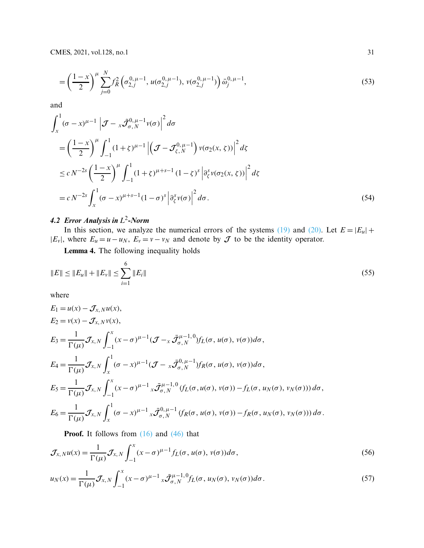$$
= \left(\frac{1-x}{2}\right)^{\mu} \sum_{j=0}^{N} f_R^2 \left(\sigma_{2,j}^{0,\mu-1}, u(\sigma_{2,j}^{0,\mu-1}), v(\sigma_{2,j}^{0,\mu-1})\right) \bar{\omega}_j^{0,\mu-1}, \tag{53}
$$

and

$$
\int_{x}^{1} (\sigma - x)^{\mu - 1} \left| \mathcal{J} - x \tilde{\mathcal{J}}_{\sigma, N}^{0, \mu - 1} v(\sigma) \right|^{2} d\sigma
$$
\n
$$
= \left( \frac{1 - x}{2} \right)^{\mu} \int_{-1}^{1} (1 + \zeta)^{\mu - 1} \left| \left( \mathcal{J} - \mathcal{J}_{\zeta, N}^{0, \mu - 1} \right) v(\sigma_{2}(x, \zeta)) \right|^{2} d\zeta
$$
\n
$$
\leq c N^{-2s} \left( \frac{1 - x}{2} \right)^{\mu} \int_{-1}^{1} (1 + \zeta)^{\mu + s - 1} (1 - \zeta)^{s} \left| \frac{\partial_{\zeta}^{s} v(\sigma_{2}(x, \zeta))}{\partial \zeta} \right|^{2} d\zeta
$$
\n
$$
= c N^{-2s} \int_{x}^{1} (\sigma - x)^{\mu + s - 1} (1 - \sigma)^{s} \left| \frac{\partial_{\zeta}^{s} v(\sigma)}{\partial \zeta} \right|^{2} d\sigma. \tag{54}
$$

## *4.2 Error Analysis in L*2*-Norm*

In this section, we analyze the numerical errors of the systems [\(19\)](#page-4-4) and [\(20\).](#page-5-0) Let  $E = |E_u| +$  $|E_v|$ , where  $E_u = u - u_N$ ,  $E_v = v - v_N$  and denote by  $\mathcal J$  to be the identity operator.

**Lemma 4.** The following inequality holds

$$
||E|| \le ||E_u|| + ||E_v|| \le \sum_{i=1}^{6} ||E_i|| \tag{55}
$$

where

$$
E_1 = u(x) - \mathcal{J}_{x,N} u(x),
$$
  
\n
$$
E_2 = v(x) - \mathcal{J}_{x,N} v(x),
$$
  
\n
$$
E_3 = \frac{1}{\Gamma(\mu)} \mathcal{J}_{x,N} \int_{-1}^{x} (x - \sigma)^{\mu-1} (\mathcal{J} - x \bar{\mathcal{J}}_{\sigma,N}^{\mu-1,0}) f_L(\sigma, u(\sigma), v(\sigma)) d\sigma,
$$
  
\n
$$
E_4 = \frac{1}{\Gamma(\mu)} \mathcal{J}_{x,N} \int_{x}^{1} (\sigma - x)^{\mu-1} (\mathcal{J} - x \bar{\mathcal{J}}_{\sigma,N}^{0,\mu-1}) f_R(\sigma, u(\sigma), v(\sigma)) d\sigma,
$$
  
\n
$$
E_5 = \frac{1}{\Gamma(\mu)} \mathcal{J}_{x,N} \int_{-1}^{x} (x - \sigma)^{\mu-1} x \bar{\mathcal{J}}_{\sigma,N}^{\mu-1,0} (f_L(\sigma, u(\sigma), v(\sigma)) - f_L(\sigma, u_N(\sigma), v_N(\sigma))) d\sigma,
$$
  
\n
$$
E_6 = \frac{1}{\Gamma(\mu)} \mathcal{J}_{x,N} \int_{x}^{1} (\sigma - x)^{\mu-1} x \bar{\mathcal{J}}_{\sigma,N}^{0,\mu-1} (f_R(\sigma, u(\sigma), v(\sigma)) - f_R(\sigma, u_N(\sigma), v_N(\sigma))) d\sigma.
$$

<span id="page-10-1"></span>**Proof.** It follows from  $(16)$  and  $(46)$  that

$$
\mathcal{J}_{x,N}u(x) = \frac{1}{\Gamma(\mu)} \mathcal{J}_{x,N} \int_{-1}^{x} (x - \sigma)^{\mu-1} f_L(\sigma, u(\sigma), v(\sigma)) d\sigma,
$$
\n(56)

<span id="page-10-0"></span>
$$
u_N(x) = \frac{1}{\Gamma(\mu)} \mathcal{J}_{x,N} \int_{-1}^x (x - \sigma)^{\mu-1} x \overline{\mathcal{J}}_{\sigma,N}^{\mu-1,0} f_L(\sigma, u_N(\sigma), v_N(\sigma)) d\sigma.
$$
 (57)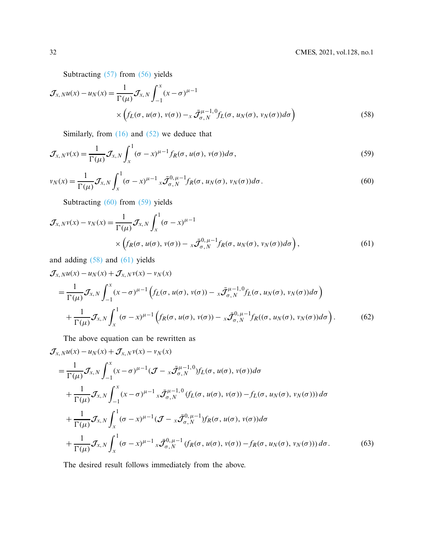Subtracting [\(57\)](#page-10-0) from [\(56\)](#page-10-1) yields

$$
\mathcal{J}_{x,N}u(x) - u_N(x) = \frac{1}{\Gamma(\mu)} \mathcal{J}_{x,N} \int_{-1}^{x} (x - \sigma)^{\mu-1} \times \left( f_L(\sigma, u(\sigma), v(\sigma)) - x \mathcal{J}_{\sigma,N}^{\mu-1,0} f_L(\sigma, u_N(\sigma), v_N(\sigma)) d\sigma \right)
$$
(58)

<span id="page-11-2"></span><span id="page-11-1"></span>Similarly, from  $(16)$  and  $(52)$  we deduce that

$$
\mathcal{J}_{x,N}\nu(x) = \frac{1}{\Gamma(\mu)}\mathcal{J}_{x,N}\int_{x}^{1} (\sigma - x)^{\mu-1} f_{R}(\sigma, u(\sigma), v(\sigma))d\sigma,
$$
\n(59)

<span id="page-11-0"></span>
$$
v_N(x) = \frac{1}{\Gamma(\mu)} \mathcal{J}_{x,N} \int_x^1 (\sigma - x)^{\mu - 1} x \overline{\mathcal{J}}_{\sigma, N}^{0,\,\mu - 1} f_R(\sigma, u_N(\sigma), v_N(\sigma)) d\sigma.
$$
 (60)

<span id="page-11-3"></span>Subtracting [\(60\)](#page-11-0) from [\(59\)](#page-11-1) yields

$$
\mathcal{J}_{x,N}\nu(x) - \nu_N(x) = \frac{1}{\Gamma(\mu)} \mathcal{J}_{x,N} \int_x^1 (\sigma - x)^{\mu - 1} \times \left( f_R(\sigma, u(\sigma), v(\sigma)) - x \overline{\mathcal{J}}_{\sigma, N}^{0, \mu - 1} f_R(\sigma, u_N(\sigma), v_N(\sigma)) d\sigma \right), \tag{61}
$$

and adding [\(58\)](#page-11-2) and [\(61\)](#page-11-3) yields

$$
\mathcal{J}_{x,N}u(x) - u_N(x) + \mathcal{J}_{x,N}v(x) - v_N(x)
$$
\n
$$
= \frac{1}{\Gamma(\mu)} \mathcal{J}_{x,N} \int_{-1}^{x} (x - \sigma)^{\mu-1} \left( f_L(\sigma, u(\sigma), v(\sigma)) - x \tilde{\mathcal{J}}_{\sigma,N}^{\mu-1,0} f_L(\sigma, u_N(\sigma), v_N(\sigma)) d\sigma \right)
$$
\n
$$
+ \frac{1}{\Gamma(\mu)} \mathcal{J}_{x,N} \int_{x}^{1} (\sigma - x)^{\mu-1} \left( f_R(\sigma, u(\sigma), v(\sigma)) - x \tilde{\mathcal{J}}_{\sigma,N}^{0,\mu-1} f_R((\sigma, u_N(\sigma), v_N(\sigma)) d\sigma \right). \tag{62}
$$

The above equation can be rewritten as

$$
\mathcal{J}_{x,N}u(x) - u_N(x) + \mathcal{J}_{x,N}v(x) - v_N(x)
$$
\n
$$
= \frac{1}{\Gamma(\mu)} \mathcal{J}_{x,N} \int_{-1}^{x} (x - \sigma)^{\mu-1} (\mathcal{J} - x \bar{\mathcal{J}}_{\sigma,N}^{\mu-1,0}) f_L(\sigma, u(\sigma), v(\sigma)) d\sigma
$$
\n
$$
+ \frac{1}{\Gamma(\mu)} \mathcal{J}_{x,N} \int_{-1}^{x} (x - \sigma)^{\mu-1} x \bar{\mathcal{J}}_{\sigma,N}^{\mu-1,0} (f_L(\sigma, u(\sigma), v(\sigma)) - f_L(\sigma, u_N(\sigma), v_N(\sigma))) d\sigma
$$
\n
$$
+ \frac{1}{\Gamma(\mu)} \mathcal{J}_{x,N} \int_{x}^{1} (\sigma - x)^{\mu-1} (\mathcal{J} - x \bar{\mathcal{J}}_{\sigma,N}^{0,\mu-1}) f_R(\sigma, u(\sigma), v(\sigma)) d\sigma
$$
\n
$$
+ \frac{1}{\Gamma(\mu)} \mathcal{J}_{x,N} \int_{x}^{1} (\sigma - x)^{\mu-1} x \bar{\mathcal{J}}_{\sigma,N}^{0,\mu-1} (f_R(\sigma, u(\sigma), v(\sigma)) - f_R(\sigma, u_N(\sigma), v_N(\sigma))) d\sigma.
$$
\n(63)

The desired result follows immediately from the above.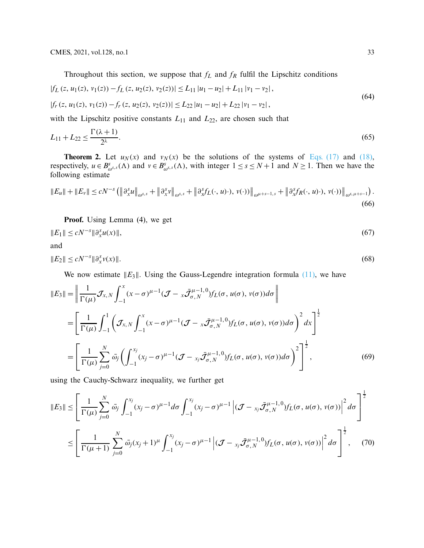<span id="page-12-1"></span><span id="page-12-0"></span>Throughout this section, we suppose that  $f_L$  and  $f_R$  fulfil the Lipschitz conditions

$$
|f_L(z, u_1(z), v_1(z)) - f_L(z, u_2(z), v_2(z))| \le L_{11} |u_1 - u_2| + L_{11} |v_1 - v_2|,
$$
  
\n
$$
|f_r(z, u_1(z), v_1(z)) - f_r(z, u_2(z), v_2(z))| \le L_{22} |u_1 - u_2| + L_{22} |v_1 - v_2|,
$$
\n(64)

with the Lipschitz positive constants  $L_{11}$  and  $L_{22}$ , are chosen such that

$$
L_{11} + L_{22} \le \frac{\Gamma(\lambda + 1)}{2^{\lambda}}.\tag{65}
$$

**Theorem 2.** Let  $u_N(x)$  and  $v_N(x)$  be the solutions of the systems of [Eqs. \(17\)](#page-4-2) and [\(18\),](#page-4-3) respectively,  $u \in B^s_{\omega^{s,s}}(\Lambda)$  and  $v \in B^s_{\omega^{s,s}}(\Lambda)$ , with integer  $1 \le s \le N+1$  and  $N \ge 1$ . Then we have the following estimate

$$
\|E_u\| + \|E_v\| \le cN^{-s} \left( \left\|\partial_x^s u\right\|_{\omega^{s,s}} + \left\|\partial_x^s v\right\|_{\omega^{s,s}} + \left\|\partial_x^s f_L(\cdot, u) \cdot), v(\cdot) \right) \right\|_{\omega^{\mu+s-1,s}} + \left\|\partial_x^s f_R(\cdot, u) \cdot), v(\cdot) \right) \right\|_{\omega^{s,\mu+s-1}} \tag{66}
$$

**Proof.** Using Lemma (4), we get

$$
||E_1|| \le cN^{-s} ||\partial_x^s u(x)||,
$$
\nand

\n
$$
(67)
$$

$$
\mathbb{E} \mathbb{E} \mathbb{E} \times \mathcal{M}
$$

 $||E_2||$  ≤  $cN^{-s}$   $||\partial_x^s$  $\int_{x}^{s} v(x)$ ||. (68)

We now estimate  $||E_3||$ . Using the Gauss-Legendre integration formula  $(11)$ , we have

$$
||E_3|| = \left\| \frac{1}{\Gamma(\mu)} \mathcal{J}_{x,N} \int_{-1}^{x} (x - \sigma)^{\mu-1} (\mathcal{J} - x \bar{\mathcal{J}}_{\sigma,N}^{\mu-1,0}) f_L(\sigma, u(\sigma), v(\sigma)) d\sigma \right\|
$$
  
\n
$$
= \left[ \frac{1}{\Gamma(\mu)} \int_{-1}^{1} \left( \mathcal{J}_{x,N} \int_{-1}^{x} (x - \sigma)^{\mu-1} (\mathcal{J} - x \bar{\mathcal{J}}_{\sigma,N}^{\mu-1,0}) f_L(\sigma, u(\sigma), v(\sigma)) d\sigma \right)^2 dx \right]^{\frac{1}{2}}
$$
  
\n
$$
= \left[ \frac{1}{\Gamma(\mu)} \sum_{j=0}^{N} \bar{\omega}_j \left( \int_{-1}^{x_j} (x_j - \sigma)^{\mu-1} (\mathcal{J} - x_j \bar{\mathcal{J}}_{\sigma,N}^{\mu-1,0}) f_L(\sigma, u(\sigma), v(\sigma)) d\sigma \right)^2 \right]^{\frac{1}{2}},
$$
(69)

using the Cauchy-Schwarz inequality, we further get

$$
||E_3|| \leq \left[ \frac{1}{\Gamma(\mu)} \sum_{j=0}^N \bar{\omega}_j \int_{-1}^{x_j} (x_j - \sigma)^{\mu-1} d\sigma \int_{-1}^{x_j} (x_j - \sigma)^{\mu-1} \left| (\mathcal{J} - x_j \bar{\mathcal{J}}_{\sigma,N}^{\mu-1,0}) f_L(\sigma, u(\sigma), v(\sigma)) \right|^2 d\sigma \right]^{\frac{1}{2}}
$$
  

$$
\leq \left[ \frac{1}{\Gamma(\mu+1)} \sum_{j=0}^N \bar{\omega}_j (x_j + 1)^{\mu} \int_{-1}^{x_j} (x_j - \sigma)^{\mu-1} \left| (\mathcal{J} - x_j \bar{\mathcal{J}}_{\sigma,N}^{\mu-1,0}) f_L(\sigma, u(\sigma), v(\sigma)) \right|^2 d\sigma \right]^{\frac{1}{2}}, \quad (70)
$$

1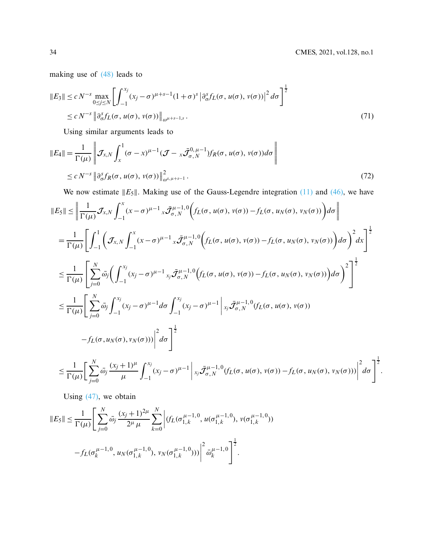.

making use of [\(48\)](#page-9-1) leads to

$$
||E_3|| \le c N^{-s} \max_{0 \le j \le N} \left[ \int_{-1}^{x_j} (x_j - \sigma)^{\mu+s-1} (1+\sigma)^s \left| \partial_{\sigma}^s f_L(\sigma, u(\sigma), v(\sigma)) \right|^2 d\sigma \right]^{\frac{1}{2}}
$$
  
 
$$
\le c N^{-s} \left\| \partial_{\sigma}^s f_L(\sigma, u(\sigma), v(\sigma)) \right\|_{\omega^{\mu+s-1,s}}.
$$
 (71)

Using similar arguments leads to

$$
||E_4|| = \frac{1}{\Gamma(\mu)} \left\| \mathcal{J}_{x,N} \int_x^1 (\sigma - x)^{\mu-1} (\mathcal{J} - x \bar{\mathcal{J}}_{\sigma,N}^{0,\mu-1}) f_R(\sigma, u(\sigma), v(\sigma)) d\sigma \right\|
$$
  
 
$$
\leq c N^{-s} \left\| \partial_{\sigma}^s f_R(\sigma, u(\sigma), v(\sigma)) \right\|_{\omega^{s,\mu+s-1}}^2.
$$
 (72)

We now estimate  $||E_5||$ . Making use of the Gauss-Legendre integration [\(11\)](#page-3-0) and [\(46\),](#page-8-0) we have

$$
||E_5|| \leq \left\| \frac{1}{\Gamma(\mu)} \mathcal{J}_{x,N} \int_{-1}^x (x - \sigma)^{\mu-1} x \overline{\mathcal{J}}_{\sigma,N}^{\mu-1,0} \Big( f_L(\sigma, u(\sigma), v(\sigma)) - f_L(\sigma, u_N(\sigma), v_N(\sigma)) \Big) d\sigma \right\|
$$
  
\n
$$
= \frac{1}{\Gamma(\mu)} \left[ \int_{-1}^1 \Big( \mathcal{J}_{x,N} \int_{-1}^x (x - \sigma)^{\mu-1} x \overline{\mathcal{J}}_{\sigma,N}^{\mu-1,0} \Big( f_L(\sigma, u(\sigma), v(\sigma)) - f_L(\sigma, u_N(\sigma), v_N(\sigma)) \Big) d\sigma \Big)^2 dx \right]^{\frac{1}{2}}
$$
  
\n
$$
\leq \frac{1}{\Gamma(\mu)} \left[ \sum_{j=0}^N \overline{\omega}_j \Big( \int_{-1}^{x_j} (x_j - \sigma)^{\mu-1} x_j \overline{\mathcal{J}}_{\sigma,N}^{\mu-1,0} \Big( f_L(\sigma, u(\sigma), v(\sigma)) - f_L(\sigma, u_N(\sigma), v_N(\sigma)) \Big) d\sigma \Big)^2 \right]^{\frac{1}{2}}
$$
  
\n
$$
\leq \frac{1}{\Gamma(\mu)} \left[ \sum_{j=0}^N \overline{\omega}_j \int_{-1}^{x_j} (x_j - \sigma)^{\mu-1} d\sigma \int_{-1}^{x_j} (x_j - \sigma)^{\mu-1} \Big| x_j \overline{\mathcal{J}}_{\sigma,N}^{\mu-1,0} (f_L(\sigma, u(\sigma), v(\sigma)) - f_L(\sigma, u_N(\sigma), v_N(\sigma)) \Big) d\sigma \right]^2
$$
  
\n
$$
-f_L(\sigma, u_N(\sigma), v_N(\sigma))) \Big|^2 d\sigma \right]^{\frac{1}{2}}
$$
  
\n
$$
\leq \frac{1}{\Gamma(\mu)} \Big[ \sum_{j=0}^N \overline{\omega}_j \frac{(x_j + 1)^{\mu}}{\mu} \int_{-1}^{x_j} (x_j - \sigma)^{\mu-1} \Big| x_j \overline{\mathcal{J}}_{\sigma,N}^{\mu-1,0} (f_L(\sigma, u(\sigma), v(\sigma)) - f_L(\sigma, u_N(\sigma), v_N(\sigma))) \Big|^2 d\sigma \Big]^{\frac{1}{2}}
$$

Using  $(47)$ , we obtain

$$
||E_5|| \leq \frac{1}{\Gamma(\mu)} \Bigg[ \sum_{j=0}^N \bar{\omega}_j \frac{(x_j+1)^{2\mu}}{2^{\mu} \mu} \sum_{k=0}^N \Bigg| (f_L(\sigma_{1,k}^{\mu-1,0}, u(\sigma_{1,k}^{\mu-1,0}), v(\sigma_{1,k}^{\mu-1,0})) - f_L(\sigma_k^{\mu-1,0}, u_N(\sigma_{1,k}^{\mu-1,0}), v_N(\sigma_{1,k}^{\mu-1,0})) \Bigg|^2 \bar{\omega}_k^{\mu-1,0} \Bigg]^{\frac{1}{2}}.
$$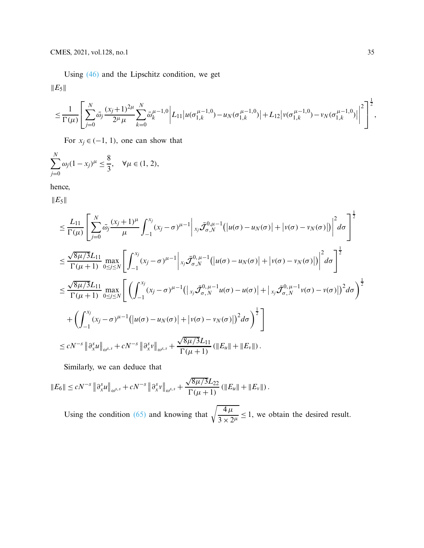Using [\(46\)](#page-8-0) and the Lipschitz condition, we get  $||E_5||$ 

$$
\leq \frac{1}{\Gamma(\mu)}\left[\sum_{j=0}^N\bar{\omega}_j\frac{(x_j+1)^{2\mu}}{2^{\mu}\mu}\sum_{k=0}^N\bar{\omega}_k^{\mu-1,0}\bigg|L_{11}\big|u(\sigma_{1,k}^{\mu-1,0})-u_N(\sigma_{1,k}^{\mu-1,0})\big|+L_{12}\big|v(\sigma_{1,k}^{\mu-1,0})-v_N(\sigma_{1,k}^{\mu-1,0})\big|\bigg|^2\right]^{\frac{1}{2}},
$$

For  $x_j \in (-1, 1)$ , one can show that

$$
\sum_{j=0}^{N} \omega_j (1 - x_j)^{\mu} \le \frac{8}{3}, \quad \forall \mu \in (1, 2),
$$

hence,

 $||E_5||$ 

$$
\leq \frac{L_{11}}{\Gamma(\mu)} \left[ \sum_{j=0}^{N} \bar{\omega}_{j} \frac{(x_{j}+1)^{\mu}}{\mu} \int_{-1}^{x_{j}} (x_{j}-\sigma)^{\mu-1} \Big|_{x_{j}} \bar{\mathcal{J}}_{\sigma,N}^{0,\mu-1} (|u(\sigma)-u_{N}(\sigma)| + |v(\sigma)-v_{N}(\sigma)|) \Big|^{2} d\sigma \right]^{\frac{1}{2}}
$$
\n
$$
\leq \frac{\sqrt{8\mu/3}L_{11}}{\Gamma(\mu+1)} \max_{0 \leq j \leq N} \left[ \int_{-1}^{x_{j}} (x_{j}-\sigma)^{\mu-1} \Big|_{x_{j}} \bar{\mathcal{J}}_{\sigma,N}^{0,\mu-1} (|u(\sigma)-u_{N}(\sigma)| + |v(\sigma)-v_{N}(\sigma)|) \Big|^{2} d\sigma \right]^{\frac{1}{2}}
$$
\n
$$
\leq \frac{\sqrt{8\mu/3}L_{11}}{\Gamma(\mu+1)} \max_{0 \leq j \leq N} \left[ \left( \int_{-1}^{x_{j}} (x_{j}-\sigma)^{\mu-1} (|x_{j}\bar{\mathcal{J}}_{\sigma,N}^{0,\mu-1} u(\sigma)-u(\sigma)| + |x_{j}\bar{\mathcal{J}}_{\sigma,N}^{0,\mu-1} v(\sigma)-v(\sigma)|^{2} d\sigma \right)^{\frac{1}{2}}
$$
\n
$$
+ \left( \int_{-1}^{x_{j}} (x_{j}-\sigma)^{\mu-1} (|u(\sigma)-u_{N}(\sigma)| + |v(\sigma)-v_{N}(\sigma)|^{2} d\sigma \right)^{\frac{1}{2}} \right]
$$
\n
$$
\leq cN^{-s} \|\partial_{x}^{s}u\|_{\omega^{s,s}} + cN^{-s} \|\partial_{x}^{s}v\|_{\omega^{s,s}} + \frac{\sqrt{8\mu/3}L_{11}}{\Gamma(\mu+1)} (\|E_{u}\| + \|E_{v}\|).
$$

Similarly, we can deduce that

$$
||E_6|| \le cN^{-s} ||\partial_x^s u||_{\omega^{s,s}} + cN^{-s} ||\partial_x^s v||_{\omega^{s,s}} + \frac{\sqrt{8\mu/3}L_{22}}{\Gamma(\mu+1)} (||E_u|| + ||E_v||).
$$

Using the condition [\(65\)](#page-12-1) and knowing that  $\sqrt{\frac{4\mu}{3 \times 2^{\mu}}} \le 1$ , we obtain the desired result.

 $\overline{1}$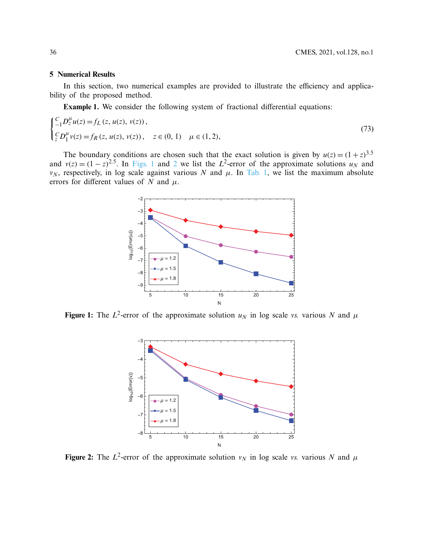#### **5 Numerical Results**

In this section, two numerical examples are provided to illustrate the efficiency and applicability of the proposed method.

**Example 1.** We consider the following system of fractional differential equations:

$$
\begin{cases} \frac{C}{-1} D_z^{\mu} u(z) = f_L(z, u(z), v(z)), \\ \frac{C}{z} D_1^{\mu} v(z) = f_R(z, u(z), v(z)), \quad z \in (0, 1) \quad \mu \in (1, 2), \end{cases}
$$
(73)

The boundary conditions are chosen such that the exact solution is given by  $u(z) = (1 + z)^{3.5}$ and  $v(z) = (1 - z)^{2.5}$  $v(z) = (1 - z)^{2.5}$  $v(z) = (1 - z)^{2.5}$ . In [Figs. 1](#page-15-0) and 2 we list the *L*<sup>2</sup>-error of the approximate solutions  $u<sub>N</sub>$  and *v<sub>N</sub>*, respectively, in log scale against various *N* and  $\mu$ . In [Tab. 1,](#page-16-0) we list the maximum absolute errors for different values of *N* and  $\mu$ .



**Figure 1:** The  $L^2$ -error of the approximate solution  $u_N$  in log scale *vs.* various N and  $\mu$ 

<span id="page-15-0"></span>

<span id="page-15-1"></span>**Figure 2:** The  $L^2$ -error of the approximate solution  $v_N$  in log scale *vs.* various N and  $\mu$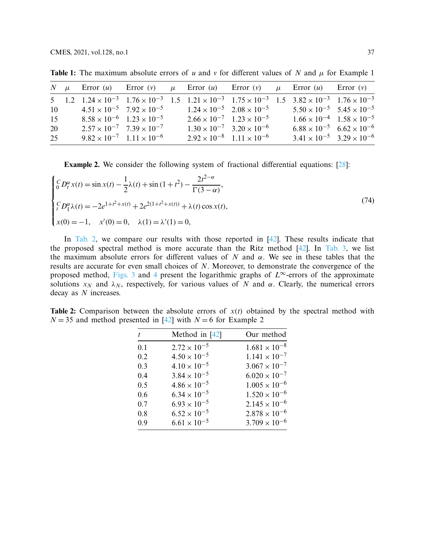<span id="page-16-0"></span>

|    |  |                                             | N $\mu$ Error (u) Error (v) $\mu$ Error (u) Error (v) $\mu$ Error (u) Error (v)                                                                   |                                             |                                             |  |
|----|--|---------------------------------------------|---------------------------------------------------------------------------------------------------------------------------------------------------|---------------------------------------------|---------------------------------------------|--|
|    |  |                                             | 5 1.2 $1.24 \times 10^{-3}$ $1.76 \times 10^{-3}$ 1.5 $1.21 \times 10^{-3}$ $1.75 \times 10^{-3}$ 1.5 $3.82 \times 10^{-3}$ $1.76 \times 10^{-3}$ |                                             |                                             |  |
| 10 |  | $4.51 \times 10^{-5}$ $7.92 \times 10^{-5}$ |                                                                                                                                                   | $1.24 \times 10^{-5}$ $2.08 \times 10^{-5}$ | $5.50 \times 10^{-5}$ $5.45 \times 10^{-5}$ |  |
| 15 |  | $8.58 \times 10^{-6}$ $1.23 \times 10^{-5}$ |                                                                                                                                                   | $2.66 \times 10^{-7}$ $1.23 \times 10^{-5}$ | $1.66 \times 10^{-4}$ $1.58 \times 10^{-5}$ |  |
| 20 |  | $2.57 \times 10^{-7}$ $7.39 \times 10^{-7}$ |                                                                                                                                                   | $1.30 \times 10^{-7}$ $3.20 \times 10^{-6}$ | $6.88 \times 10^{-5}$ $6.62 \times 10^{-6}$ |  |
| 25 |  | $9.82 \times 10^{-7}$ $1.11 \times 10^{-6}$ |                                                                                                                                                   | $2.92 \times 10^{-8}$ 1.11 $\times 10^{-6}$ | $3.41 \times 10^{-5}$ $3.29 \times 10^{-6}$ |  |

**Table 1:** The maximum absolute errors of *u* and *v* for different values of *N* and  $\mu$  for Example 1

**Example 2.** We consider the following system of fractional differential equations: [\[28\]](#page-19-6):

$$
\begin{cases}\nC D_t^{\alpha} x(t) = \sin x(t) - \frac{1}{2}\lambda(t) + \sin(1+t^2) - \frac{2t^{2-\alpha}}{\Gamma(3-\alpha)}, \\
C D_1^{\alpha} \lambda(t) = -2e^{1+t^2 + x(t)} + 2e^{2(1+t^2 + x(t))} + \lambda(t)\cos x(t), \\
x(0) = -1, \quad x'(0) = 0, \quad \lambda(1) = \lambda'(1) = 0,\n\end{cases}
$$
\n(74)

In [Tab. 2,](#page-16-1) we compare our results with those reported in [\[42\]](#page-20-5). These results indicate that the proposed spectral method is more accurate than the Ritz method [\[42](#page-20-5)]. In [Tab. 3,](#page-17-0) we list the maximum absolute errors for different values of  $N$  and  $\alpha$ . We see in these tables that the results are accurate for even small choices of *N*. Moreover, to demonstrate the convergence of the proposed method, [Figs. 3](#page-17-1) and [4](#page-17-2) present the logarithmic graphs of  $L^\infty$ -errors of the approximate solutions  $x_N$  and  $\lambda_N$ , respectively, for various values of *N* and  $\alpha$ . Clearly, the numerical errors decay as *N* increases.

<span id="page-16-1"></span>**Table 2:** Comparison between the absolute errors of *x*(*t*) obtained by the spectral method with  $N = 35$  and method presented in [\[42](#page-20-5)] with  $N = 6$  for Example 2

| t.  | Method in $[42]$      | Our method             |
|-----|-----------------------|------------------------|
| 0.1 | $2.72 \times 10^{-5}$ | $1.681 \times 10^{-8}$ |
| 0.2 | $4.50 \times 10^{-5}$ | $1.141 \times 10^{-7}$ |
| 0.3 | $4.10 \times 10^{-5}$ | $3.067 \times 10^{-7}$ |
| 0.4 | $3.84 \times 10^{-5}$ | $6.020 \times 10^{-7}$ |
| 0.5 | $4.86 \times 10^{-5}$ | $1.005 \times 10^{-6}$ |
| 0.6 | $6.34 \times 10^{-5}$ | $1.520 \times 10^{-6}$ |
| 0.7 | $6.93 \times 10^{-5}$ | $2.145 \times 10^{-6}$ |
| 0.8 | $6.52 \times 10^{-5}$ | $2.878 \times 10^{-6}$ |
| 0.9 | $6.61 \times 10^{-5}$ | $3.709 \times 10^{-6}$ |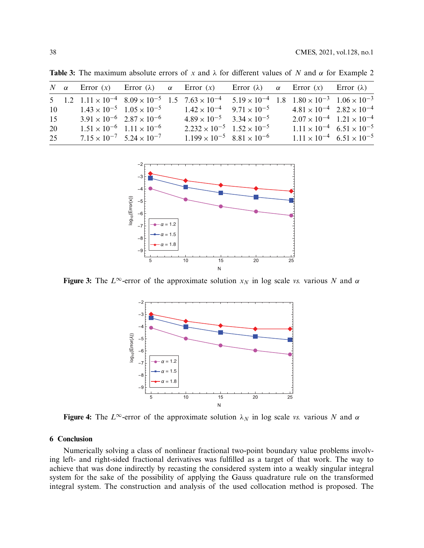<span id="page-17-0"></span>

| 15 |  |                                                                                            |                                                                                            |                                                                                              |                                                                                            |                                                                                                                                                                                                                                                                                                                                                                                                                                                                         |
|----|--|--------------------------------------------------------------------------------------------|--------------------------------------------------------------------------------------------|----------------------------------------------------------------------------------------------|--------------------------------------------------------------------------------------------|-------------------------------------------------------------------------------------------------------------------------------------------------------------------------------------------------------------------------------------------------------------------------------------------------------------------------------------------------------------------------------------------------------------------------------------------------------------------------|
|    |  |                                                                                            |                                                                                            |                                                                                              |                                                                                            |                                                                                                                                                                                                                                                                                                                                                                                                                                                                         |
|    |  |                                                                                            |                                                                                            |                                                                                              |                                                                                            |                                                                                                                                                                                                                                                                                                                                                                                                                                                                         |
|    |  | $1.51 \times 10^{-6}$ $1.11 \times 10^{-6}$<br>$7.15 \times 10^{-7}$ 5.24 $\times 10^{-7}$ | $1.43 \times 10^{-5}$ $1.05 \times 10^{-5}$<br>$3.91 \times 10^{-6}$ $2.87 \times 10^{-6}$ | $2.232 \times 10^{-5}$ $1.52 \times 10^{-5}$<br>$1.199 \times 10^{-5}$ $8.81 \times 10^{-6}$ | $1.42 \times 10^{-4}$ $9.71 \times 10^{-5}$<br>$4.89 \times 10^{-5}$ $3.34 \times 10^{-5}$ | N $\alpha$ Error (x) Error ( $\lambda$ ) $\alpha$ Error (x) Error ( $\lambda$ ) $\alpha$ Error (x) Error ( $\lambda$ )<br>5 1.2 $1.11 \times 10^{-4}$ $8.09 \times 10^{-5}$ 1.5 $7.63 \times 10^{-4}$ $5.19 \times 10^{-4}$ 1.8 $1.80 \times 10^{-3}$ $1.06 \times 10^{-3}$<br>$4.81 \times 10^{-4}$ $2.82 \times 10^{-4}$<br>$2.07 \times 10^{-4}$ 1.21 $\times 10^{-4}$<br>$1.11 \times 10^{-4}$ 6.51 $\times 10^{-5}$<br>$1.11 \times 10^{-4}$ 6.51 $\times 10^{-5}$ |

**Table 3:** The maximum absolute errors of x and  $\lambda$  for different values of N and  $\alpha$  for Example 2



**Figure 3:** The  $L^\infty$ -error of the approximate solution  $x_N$  in log scale *vs.* various N and  $\alpha$ 

<span id="page-17-1"></span>

<span id="page-17-2"></span>**Figure 4:** The  $L^\infty$ -error of the approximate solution  $\lambda_N$  in log scale *vs.* various N and  $\alpha$ 

## **6 Conclusion**

Numerically solving a class of nonlinear fractional two-point boundary value problems involving left- and right-sided fractional derivatives was fulfilled as a target of that work. The way to achieve that was done indirectly by recasting the considered system into a weakly singular integral system for the sake of the possibility of applying the Gauss quadrature rule on the transformed integral system. The construction and analysis of the used collocation method is proposed. The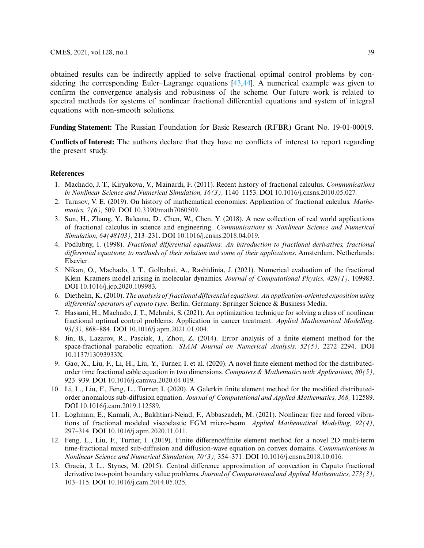obtained results can be indirectly applied to solve fractional optimal control problems by considering the corresponding Euler–Lagrange equations [\[43](#page-20-6)[,44\]](#page-20-7). A numerical example was given to confirm the convergence analysis and robustness of the scheme. Our future work is related to spectral methods for systems of nonlinear fractional differential equations and system of integral equations with non-smooth solutions.

**Funding Statement:** The Russian Foundation for Basic Research (RFBR) Grant No. 19-01-00019.

**Conflicts of Interest:** The authors declare that they have no conflicts of interest to report regarding the present study.

#### **References**

- <span id="page-18-0"></span>1. Machado, J. T., Kiryakova, V., Mainardi, F. (2011). Recent history of fractional calculus. *Communications in Nonlinear Science and Numerical Simulation, 16(3),* 1140–1153. DOI [10.1016/j.cnsns.2010.05.027.](http://dx.doi.org/10.1016/j.cnsns.2010.05.027)
- 2. Tarasov, V. E. (2019). On history of mathematical economics: Application of fractional calculus. *Mathematics, 7(6),* 509. DOI [10.3390/math7060509.](http://dx.doi.org/10.3390/math7060509)
- <span id="page-18-1"></span>3. Sun, H., Zhang, Y., Baleanu, D., Chen, W., Chen, Y. (2018). A new collection of real world applications of fractional calculus in science and engineering. *Communications in Nonlinear Science and Numerical Simulation, 64(48103),* 213–231. DOI [10.1016/j.cnsns.2018.04.019.](http://dx.doi.org/10.1016/j.cnsns.2018.04.019)
- <span id="page-18-2"></span>4. Podlubny, I. (1998). *Fractional differential equations: An introduction to fractional derivatives, fractional differential equations, to methods of their solution and some of their applications*. Amsterdam, Netherlands: Elsevier.
- <span id="page-18-7"></span>5. Nikan, O., Machado, J. T., Golbabai, A., Rashidinia, J. (2021). Numerical evaluation of the fractional Klein–Kramers model arising in molecular dynamics. *Journal of Computational Physics, 428(1),* 109983. DOI [10.1016/j.jcp.2020.109983.](http://dx.doi.org/10.1016/j.jcp.2020.109983)
- 6. Diethelm, K. (2010). *The analysis of fractional differential equations: An application-oriented exposition using differential operators of caputo type*. Berlin, Germany: Springer Science & Business Media.
- <span id="page-18-3"></span>7. Hassani, H., Machado, J. T., Mehrabi, S. (2021). An optimization technique for solving a class of nonlinear fractional optimal control problems: Application in cancer treatment. *Applied Mathematical Modelling, 93(3),* 868–884. DOI [10.1016/j.apm.2021.01.004.](http://dx.doi.org/10.1016/j.apm.2021.01.004)
- <span id="page-18-4"></span>8. Jin, B., Lazarov, R., Pasciak, J., Zhou, Z. (2014). Error analysis of a finite element method for the space-fractional parabolic equation. *SIAM Journal on Numerical Analysis, 52(5),* 2272–2294. DOI [10.1137/13093933X.](http://dx.doi.org/10.1137/13093933X)
- 9. Gao, X., Liu, F., Li, H., Liu, Y., Turner, I. et al. (2020). A novel finite element method for the distributedorder time fractional cable equation in two dimensions. *Computers & Mathematics with Applications, 80(5),* 923–939. DOI [10.1016/j.camwa.2020.04.019.](http://dx.doi.org/10.1016/j.camwa.2020.04.019)
- 10. Li, L., Liu, F., Feng, L., Turner, I. (2020). A Galerkin finite element method for the modified distributedorder anomalous sub-diffusion equation. *Journal of Computational and Applied Mathematics, 368,* 112589. DOI [10.1016/j.cam.2019.112589.](http://dx.doi.org/10.1016/j.cam.2019.112589)
- <span id="page-18-5"></span>11. Loghman, E., Kamali, A., Bakhtiari-Nejad, F., Abbaszadeh, M. (2021). Nonlinear free and forced vibrations of fractional modeled viscoelastic FGM micro-beam. *Applied Mathematical Modelling, 92(4),* 297–314. DOI [10.1016/j.apm.2020.11.011.](http://dx.doi.org/10.1016/j.apm.2020.11.011)
- <span id="page-18-6"></span>12. Feng, L., Liu, F., Turner, I. (2019). Finite difference/finite element method for a novel 2D multi-term time-fractional mixed sub-diffusion and diffusion-wave equation on convex domains. *Communications in Nonlinear Science and Numerical Simulation, 70(3),* 354–371. DOI [10.1016/j.cnsns.2018.10.016.](http://dx.doi.org/10.1016/j.cnsns.2018.10.016)
- 13. Gracia, J. L., Stynes, M. (2015). Central difference approximation of convection in Caputo fractional derivative two-point boundary value problems. *Journal of Computational and Applied Mathematics, 273(3),* 103–115. DOI [10.1016/j.cam.2014.05.025.](http://dx.doi.org/10.1016/j.cam.2014.05.025)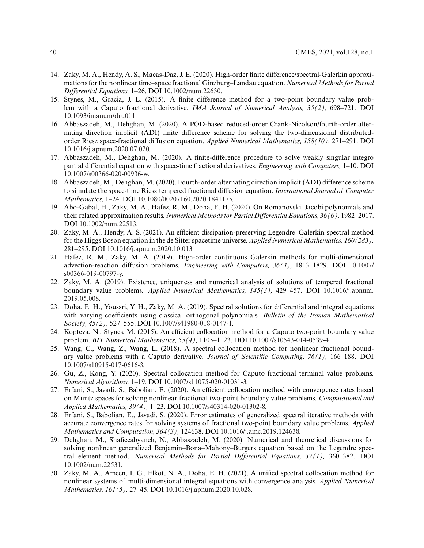- 14. Zaky, M. A., Hendy, A. S., Macas-Daz, J. E. (2020). High-order finite difference/spectral-Galerkin approximations for the nonlinear time–space fractional Ginzburg–Landau equation. *Numerical Methods for Partial Differential Equations,* 1–26. DOI [10.1002/num.22630.](http://dx.doi.org/10.1002/num.22630)
- 15. Stynes, M., Gracia, J. L. (2015). A finite difference method for a two-point boundary value problem with a Caputo fractional derivative. *IMA Journal of Numerical Analysis, 35(2),* 698–721. DOI [10.1093/imanum/dru011.](http://dx.doi.org/10.1093/imanum/dru011)
- 16. Abbaszadeh, M., Dehghan, M. (2020). A POD-based reduced-order Crank-Nicolson/fourth-order alternating direction implicit (ADI) finite difference scheme for solving the two-dimensional distributedorder Riesz space-fractional diffusion equation. *Applied Numerical Mathematics, 158(10),* 271–291. DOI [10.1016/j.apnum.2020.07.020.](http://dx.doi.org/10.1016/j.apnum.2020.07.020)
- 17. Abbaszadeh, M., Dehghan, M. (2020). A finite-difference procedure to solve weakly singular integro partial differential equation with space-time fractional derivatives. *Engineering with Computers,* 1–10. DOI [10.1007/s00366-020-00936-w.](http://dx.doi.org/10.1007/s00366-020-00936-w)
- <span id="page-19-0"></span>18. Abbaszadeh, M., Dehghan, M. (2020). Fourth-order alternating direction implicit (ADI) difference scheme to simulate the space-time Riesz tempered fractional diffusion equation. *International Journal of Computer Mathematics,* 1–24. DOI [10.1080/00207160.2020.1841175.](http://dx.doi.org/10.1080/00207160.2020.1841175)
- <span id="page-19-1"></span>19. Abo-Gabal, H., Zaky, M. A., Hafez, R. M., Doha, E. H. (2020). On Romanovski–Jacobi polynomials and their related approximation results. *Numerical Methods for Partial Differential Equations, 36(6),* 1982–2017. DOI [10.1002/num.22513.](http://dx.doi.org/10.1002/num.22513)
- 20. Zaky, M. A., Hendy, A. S. (2021). An efficient dissipation-preserving Legendre–Galerkin spectral method for the Higgs Boson equation in the de Sitter spacetime universe. *Applied Numerical Mathematics, 160(283),* 281–295. DOI [10.1016/j.apnum.2020.10.013.](http://dx.doi.org/10.1016/j.apnum.2020.10.013)
- 21. Hafez, R. M., Zaky, M. A. (2019). High-order continuous Galerkin methods for multi-dimensional advection-reaction–diffusion problems. *Engineering with Computers, 36(4),* 1813–1829. DOI [10.1007/](http://dx.doi.org/10.1007/s00366-019-00797-y) [s00366-019-00797-y.](http://dx.doi.org/10.1007/s00366-019-00797-y)
- 22. Zaky, M. A. (2019). Existence, uniqueness and numerical analysis of solutions of tempered fractional boundary value problems. *Applied Numerical Mathematics, 145(3),* 429–457. DOI [10.1016/j.apnum.](http://dx.doi.org/10.1016/j.apnum.2019.05.008) [2019.05.008.](http://dx.doi.org/10.1016/j.apnum.2019.05.008)
- <span id="page-19-2"></span>23. Doha, E. H., Youssri, Y. H., Zaky, M. A. (2019). Spectral solutions for differential and integral equations with varying coefficients using classical orthogonal polynomials. *Bulletin of the Iranian Mathematical Society, 45(2),* 527–555. DOI [10.1007/s41980-018-0147-1.](http://dx.doi.org/10.1007/s41980-018-0147-1)
- <span id="page-19-3"></span>24. Kopteva, N., Stynes, M. (2015). An efficient collocation method for a Caputo two-point boundary value problem. *BIT Numerical Mathematics, 55(4),* 1105–1123. DOI [10.1007/s10543-014-0539-4.](http://dx.doi.org/10.1007/s10543-014-0539-4)
- 25. Wang, C., Wang, Z., Wang, L. (2018). A spectral collocation method for nonlinear fractional boundary value problems with a Caputo derivative. *Journal of Scientific Computing, 76(1),* 166–188. DOI [10.1007/s10915-017-0616-3.](http://dx.doi.org/10.1007/s10915-017-0616-3)
- 26. Gu, Z., Kong, Y. (2020). Spectral collocation method for Caputo fractional terminal value problems. *Numerical Algorithms,* 1–19. DOI [10.1007/s11075-020-01031-3.](http://dx.doi.org/10.1007/s11075-020-01031-3)
- 27. Erfani, S., Javadi, S., Babolian, E. (2020). An efficient collocation method with convergence rates based on Müntz spaces for solving nonlinear fractional two-point boundary value problems. *Computational and Applied Mathematics, 39(4),* 1–23. DOI [10.1007/s40314-020-01302-8.](http://dx.doi.org/10.1007/s40314-020-01302-8)
- <span id="page-19-6"></span>28. Erfani, S., Babolian, E., Javadi, S. (2020). Error estimates of generalized spectral iterative methods with accurate convergence rates for solving systems of fractional two-point boundary value problems. *Applied Mathematics and Computation, 364(3),* 124638. DOI [10.1016/j.amc.2019.124638.](http://dx.doi.org/10.1016/j.amc.2019.124638)
- <span id="page-19-4"></span>29. Dehghan, M., Shafieeabyaneh, N., Abbaszadeh, M. (2020). Numerical and theoretical discussions for solving nonlinear generalized Benjamin–Bona–Mahony–Burgers equation based on the Legendre spectral element method. *Numerical Methods for Partial Differential Equations, 37(1),* 360–382. DOI [10.1002/num.22531.](http://dx.doi.org/10.1002/num.22531)
- <span id="page-19-5"></span>30. Zaky, M. A., Ameen, I. G., Elkot, N. A., Doha, E. H. (2021). A unified spectral collocation method for nonlinear systems of multi-dimensional integral equations with convergence analysis. *Applied Numerical Mathematics, 161(5),* 27–45. DOI [10.1016/j.apnum.2020.10.028.](http://dx.doi.org/10.1016/j.apnum.2020.10.028)